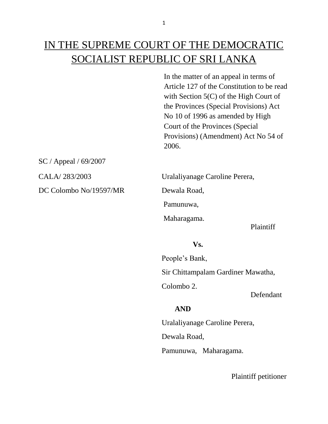# IN THE SUPREME COURT OF THE DEMOCRATIC SOCIALIST REPUBLIC OF SRI LANKA

In the matter of an appeal in terms of Article 127 of the Constitution to be read with Section 5(C) of the High Court of the Provinces (Special Provisions) Act No 10 of 1996 as amended by High Court of the Provinces (Special Provisions) (Amendment) Act No 54 of 2006.

SC / Appeal / 69/2007

DC Colombo No/19597/MR Dewala Road,

CALA/ 283/2003 Uralaliyanage Caroline Perera,

Pamunuwa,

Maharagama.

Plaintiff

#### **Vs.**

People's Bank,

Sir Chittampalam Gardiner Mawatha,

Colombo 2.

Defendant

# **AND**

Uralaliyanage Caroline Perera,

Dewala Road,

Pamunuwa, Maharagama.

Plaintiff petitioner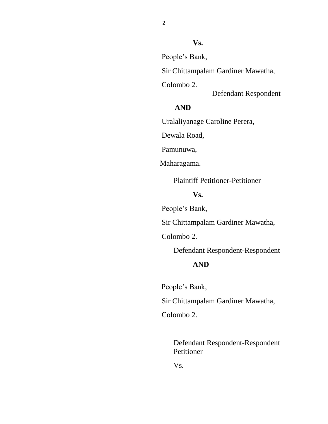# **Vs.**

People's Bank,

Sir Chittampalam Gardiner Mawatha,

Colombo 2.

Defendant Respondent

# **AND**

Uralaliyanage Caroline Perera,

Dewala Road,

Pamunuwa,

Maharagama.

Plaintiff Petitioner-Petitioner

### **Vs.**

People's Bank,

Sir Chittampalam Gardiner Mawatha,

Colombo 2.

Defendant Respondent-Respondent

#### **AND**

People's Bank,

Sir Chittampalam Gardiner Mawatha,

Colombo 2.

 Defendant Respondent-Respondent Petitioner

Vs.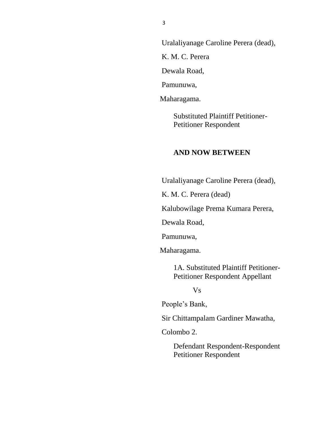Uralaliyanage Caroline Perera (dead), K. M. C. Perera Dewala Road, Pamunuwa,

Maharagama.

Substituted Plaintiff Petitioner-Petitioner Respondent

### **AND NOW BETWEEN**

Uralaliyanage Caroline Perera (dead),

K. M. C. Perera (dead)

Kalubowilage Prema Kumara Perera,

Dewala Road,

Pamunuwa,

Maharagama.

1A. Substituted Plaintiff Petitioner-Petitioner Respondent Appellant

Vs

People's Bank,

Sir Chittampalam Gardiner Mawatha,

Colombo 2.

 Defendant Respondent-Respondent Petitioner Respondent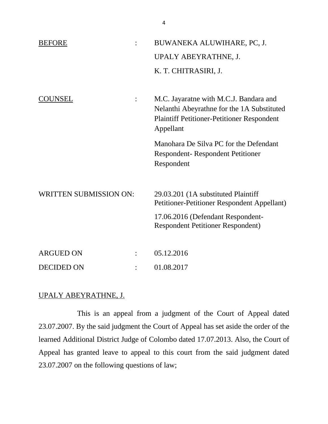| <b>BEFORE</b>                 | BUWANEKA ALUWIHARE, PC, J.                                                                                                                             |
|-------------------------------|--------------------------------------------------------------------------------------------------------------------------------------------------------|
|                               | UPALY ABEYRATHNE, J.                                                                                                                                   |
|                               | K. T. CHITRASIRI, J.                                                                                                                                   |
|                               |                                                                                                                                                        |
| COUNSEL                       | M.C. Jayaratne with M.C.J. Bandara and<br>Nelanthi Abeyrathne for the 1A Substituted<br><b>Plaintiff Petitioner-Petitioner Respondent</b><br>Appellant |
|                               | Manohara De Silva PC for the Defendant<br><b>Respondent-Respondent Petitioner</b><br>Respondent                                                        |
| <b>WRITTEN SUBMISSION ON:</b> | 29.03.201 (1A substituted Plaintiff<br>Petitioner-Petitioner Respondent Appellant)                                                                     |
|                               | 17.06.2016 (Defendant Respondent-<br><b>Respondent Petitioner Respondent)</b>                                                                          |
| <b>ARGUED ON</b>              | 05.12.2016                                                                                                                                             |
| <b>DECIDED ON</b>             | 01.08.2017                                                                                                                                             |

#### UPALY ABEYRATHNE, J.

This is an appeal from a judgment of the Court of Appeal dated 23.07.2007. By the said judgment the Court of Appeal has set aside the order of the learned Additional District Judge of Colombo dated 17.07.2013. Also, the Court of Appeal has granted leave to appeal to this court from the said judgment dated 23.07.2007 on the following questions of law;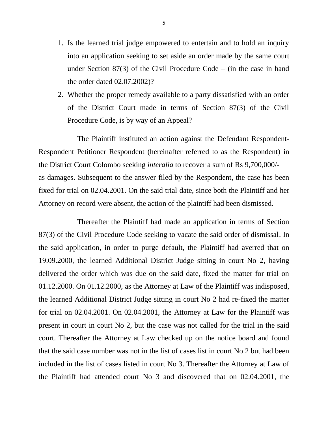- 1. Is the learned trial judge empowered to entertain and to hold an inquiry into an application seeking to set aside an order made by the same court under Section 87(3) of the Civil Procedure Code – (in the case in hand the order dated 02.07.2002)?
- 2. Whether the proper remedy available to a party dissatisfied with an order of the District Court made in terms of Section 87(3) of the Civil Procedure Code, is by way of an Appeal?

The Plaintiff instituted an action against the Defendant Respondent-Respondent Petitioner Respondent (hereinafter referred to as the Respondent) in the District Court Colombo seeking *interalia* to recover a sum of Rs 9,700,000/ as damages. Subsequent to the answer filed by the Respondent, the case has been fixed for trial on 02.04.2001. On the said trial date, since both the Plaintiff and her Attorney on record were absent, the action of the plaintiff had been dismissed.

Thereafter the Plaintiff had made an application in terms of Section 87(3) of the Civil Procedure Code seeking to vacate the said order of dismissal. In the said application, in order to purge default, the Plaintiff had averred that on 19.09.2000, the learned Additional District Judge sitting in court No 2, having delivered the order which was due on the said date, fixed the matter for trial on 01.12.2000. On 01.12.2000, as the Attorney at Law of the Plaintiff was indisposed, the learned Additional District Judge sitting in court No 2 had re-fixed the matter for trial on 02.04.2001. On 02.04.2001, the Attorney at Law for the Plaintiff was present in court in court No 2, but the case was not called for the trial in the said court. Thereafter the Attorney at Law checked up on the notice board and found that the said case number was not in the list of cases list in court No 2 but had been included in the list of cases listed in court No 3. Thereafter the Attorney at Law of the Plaintiff had attended court No 3 and discovered that on 02.04.2001, the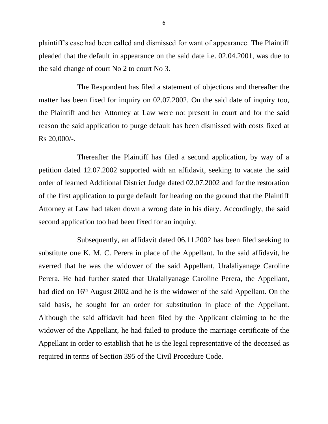plaintiff's case had been called and dismissed for want of appearance. The Plaintiff pleaded that the default in appearance on the said date i.e. 02.04.2001, was due to the said change of court No 2 to court No 3.

The Respondent has filed a statement of objections and thereafter the matter has been fixed for inquiry on 02.07.2002. On the said date of inquiry too, the Plaintiff and her Attorney at Law were not present in court and for the said reason the said application to purge default has been dismissed with costs fixed at Rs 20,000/-.

Thereafter the Plaintiff has filed a second application, by way of a petition dated 12.07.2002 supported with an affidavit, seeking to vacate the said order of learned Additional District Judge dated 02.07.2002 and for the restoration of the first application to purge default for hearing on the ground that the Plaintiff Attorney at Law had taken down a wrong date in his diary. Accordingly, the said second application too had been fixed for an inquiry.

Subsequently, an affidavit dated 06.11.2002 has been filed seeking to substitute one K. M. C. Perera in place of the Appellant. In the said affidavit, he averred that he was the widower of the said Appellant, Uralaliyanage Caroline Perera. He had further stated that Uralaliyanage Caroline Perera, the Appellant, had died on 16<sup>th</sup> August 2002 and he is the widower of the said Appellant. On the said basis, he sought for an order for substitution in place of the Appellant. Although the said affidavit had been filed by the Applicant claiming to be the widower of the Appellant, he had failed to produce the marriage certificate of the Appellant in order to establish that he is the legal representative of the deceased as required in terms of Section 395 of the Civil Procedure Code.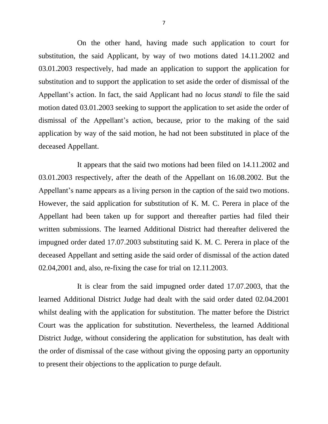On the other hand, having made such application to court for substitution, the said Applicant, by way of two motions dated 14.11.2002 and 03.01.2003 respectively, had made an application to support the application for substitution and to support the application to set aside the order of dismissal of the Appellant's action. In fact, the said Applicant had no *locus standi* to file the said motion dated 03.01.2003 seeking to support the application to set aside the order of dismissal of the Appellant's action, because, prior to the making of the said application by way of the said motion, he had not been substituted in place of the deceased Appellant.

It appears that the said two motions had been filed on 14.11.2002 and 03.01.2003 respectively, after the death of the Appellant on 16.08.2002. But the Appellant's name appears as a living person in the caption of the said two motions. However, the said application for substitution of K. M. C. Perera in place of the Appellant had been taken up for support and thereafter parties had filed their written submissions. The learned Additional District had thereafter delivered the impugned order dated 17.07.2003 substituting said K. M. C. Perera in place of the deceased Appellant and setting aside the said order of dismissal of the action dated 02.04,2001 and, also, re-fixing the case for trial on 12.11.2003.

It is clear from the said impugned order dated 17.07.2003, that the learned Additional District Judge had dealt with the said order dated 02.04.2001 whilst dealing with the application for substitution. The matter before the District Court was the application for substitution. Nevertheless, the learned Additional District Judge, without considering the application for substitution, has dealt with the order of dismissal of the case without giving the opposing party an opportunity to present their objections to the application to purge default.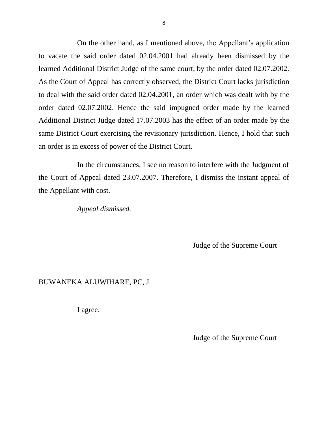On the other hand, as I mentioned above, the Appellant's application to vacate the said order dated 02.04.2001 had already been dismissed by the learned Additional District Judge of the same court, by the order dated 02.07.2002. As the Court of Appeal has correctly observed, the District Court lacks jurisdiction to deal with the said order dated 02.04.2001, an order which was dealt with by the order dated 02.07.2002. Hence the said impugned order made by the learned Additional District Judge dated 17.07.2003 has the effect of an order made by the same District Court exercising the revisionary jurisdiction. Hence, I hold that such an order is in excess of power of the District Court.

In the circumstances, I see no reason to interfere with the Judgment of the Court of Appeal dated 23.07.2007. Therefore, I dismiss the instant appeal of the Appellant with cost.

*Appeal dismissed.*

Judge of the Supreme Court

# BUWANEKA ALUWIHARE, PC, J.

I agree.

Judge of the Supreme Court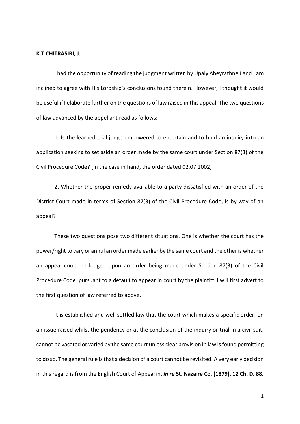#### **K.T.CHITRASIRI, J.**

I had the opportunity of reading the judgment written by Upaly Abeyrathne J and I am inclined to agree with His Lordship's conclusions found therein. However, I thought it would be useful if I elaborate further on the questions of law raised in this appeal. The two questions of law advanced by the appellant read as follows:

1. Is the learned trial judge empowered to entertain and to hold an inquiry into an application seeking to set aside an order made by the same court under Section 87(3) of the Civil Procedure Code? [In the case in hand, the order dated 02.07.2002]

2. Whether the proper remedy available to a party dissatisfied with an order of the District Court made in terms of Section 87(3) of the Civil Procedure Code, is by way of an appeal?

These two questions pose two different situations. One is whether the court has the power/right to vary or annul an order made earlier by the same court and the other is whether an appeal could be lodged upon an order being made under Section 87(3) of the Civil Procedure Code pursuant to a default to appear in court by the plaintiff. I will first advert to the first question of law referred to above.

It is established and well settled law that the court which makes a specific order, on an issue raised whilst the pendency or at the conclusion of the inquiry or trial in a civil suit, cannot be vacated or varied by the same court unless clear provision in law is found permitting to do so. The general rule is that a decision of a court cannot be revisited. A very early decision in this regard is from the English Court of Appeal in, *in re* **St. Nazaire Co. (1879), 12 Ch. D. 88.**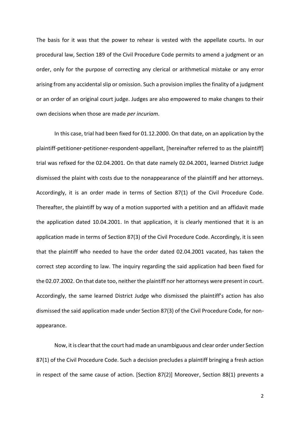The basis for it was that the power to rehear is vested with the appellate courts. In our procedural law, Section 189 of the Civil Procedure Code permits to amend a judgment or an order, only for the purpose of correcting any clerical or arithmetical mistake or any error arising from any accidental slip or omission. Such a provision implies the finality of a judgment or an order of an original court judge. Judges are also empowered to make changes to their own decisions when those are made *per incuriam*.

In this case, trial had been fixed for 01.12.2000. On that date, on an application by the plaintiff-petitioner-petitioner-respondent-appellant, [hereinafter referred to as the plaintiff] trial was refixed for the 02.04.2001. On that date namely 02.04.2001, learned District Judge dismissed the plaint with costs due to the nonappearance of the plaintiff and her attorneys. Accordingly, it is an order made in terms of Section 87(1) of the Civil Procedure Code. Thereafter, the plaintiff by way of a motion supported with a petition and an affidavit made the application dated 10.04.2001. In that application, it is clearly mentioned that it is an application made in terms of Section 87(3) of the Civil Procedure Code. Accordingly, it is seen that the plaintiff who needed to have the order dated 02.04.2001 vacated, has taken the correct step according to law. The inquiry regarding the said application had been fixed for the 02.07.2002. On that date too, neither the plaintiff nor her attorneys were present in court. Accordingly, the same learned District Judge who dismissed the plaintiff's action has also dismissed the said application made under Section 87(3) of the Civil Procedure Code, for nonappearance.

Now, it is clear that the court had made an unambiguous and clear order under Section 87(1) of the Civil Procedure Code. Such a decision precludes a plaintiff bringing a fresh action in respect of the same cause of action. [Section 87(2)] Moreover, Section 88(1) prevents a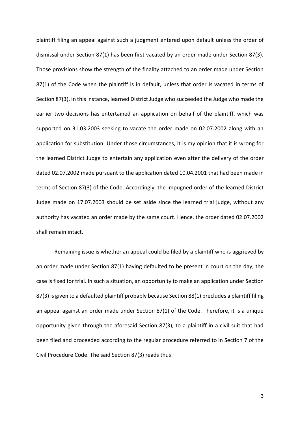plaintiff filing an appeal against such a judgment entered upon default unless the order of dismissal under Section 87(1) has been first vacated by an order made under Section 87(3). Those provisions show the strength of the finality attached to an order made under Section 87(1) of the Code when the plaintiff is in default, unless that order is vacated in terms of Section 87(3). In this instance, learned District Judge who succeeded the Judge who made the earlier two decisions has entertained an application on behalf of the plaintiff, which was supported on 31.03.2003 seeking to vacate the order made on 02.07.2002 along with an application for substitution. Under those circumstances, it is my opinion that it is wrong for the learned District Judge to entertain any application even after the delivery of the order dated 02.07.2002 made pursuant to the application dated 10.04.2001 that had been made in terms of Section 87(3) of the Code. Accordingly, the impugned order of the learned District Judge made on 17.07.2003 should be set aside since the learned trial judge, without any authority has vacated an order made by the same court. Hence, the order dated 02.07.2002 shall remain intact.

Remaining issue is whether an appeal could be filed by a plaintiff who is aggrieved by an order made under Section 87(1) having defaulted to be present in court on the day; the case is fixed for trial. In such a situation, an opportunity to make an application under Section 87(3) is given to a defaulted plaintiff probably because Section 88(1) precludes a plaintiff filing an appeal against an order made under Section 87(1) of the Code. Therefore, it is a unique opportunity given through the aforesaid Section 87(3), to a plaintiff in a civil suit that had been filed and proceeded according to the regular procedure referred to in Section 7 of the Civil Procedure Code. The said Section 87(3) reads thus: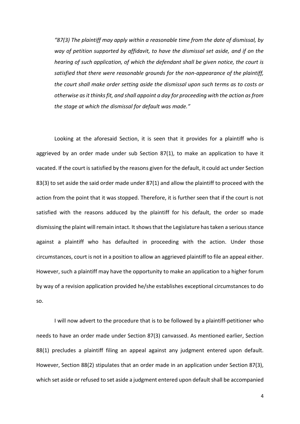*"87(3) The plaintiff may apply within a reasonable time from the date of dismissal, by way of petition supported by affidavit, to have the dismissal set aside, and if on the hearing of such application, of which the defendant shall be given notice, the court is satisfied that there were reasonable grounds for the non-appearance of the plaintiff, the court shall make order setting aside the dismissal upon such terms as to costs or otherwise as it thinks fit, and shall appoint a day for proceeding with the action as from the stage at which the dismissal for default was made."*

Looking at the aforesaid Section, it is seen that it provides for a plaintiff who is aggrieved by an order made under sub Section 87(1), to make an application to have it vacated. If the court is satisfied by the reasons given for the default, it could act under Section 83(3) to set aside the said order made under 87(1) and allow the plaintiff to proceed with the action from the point that it was stopped. Therefore, it is further seen that if the court is not satisfied with the reasons adduced by the plaintiff for his default, the order so made dismissing the plaint will remain intact. It showsthat the Legislature has taken a serious stance against a plaintiff who has defaulted in proceeding with the action. Under those circumstances, court is not in a position to allow an aggrieved plaintiff to file an appeal either. However, such a plaintiff may have the opportunity to make an application to a higher forum by way of a revision application provided he/she establishes exceptional circumstances to do so.

I will now advert to the procedure that is to be followed by a plaintiff-petitioner who needs to have an order made under Section 87(3) canvassed. As mentioned earlier, Section 88(1) precludes a plaintiff filing an appeal against any judgment entered upon default. However, Section 88(2) stipulates that an order made in an application under Section 87(3), which set aside or refused to set aside a judgment entered upon default shall be accompanied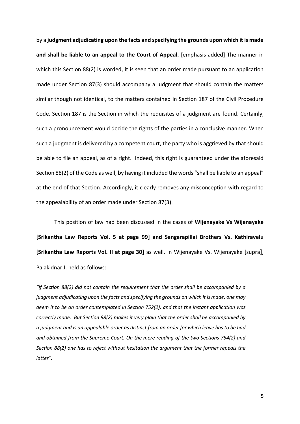by a **judgment adjudicating upon the facts and specifying the grounds upon which it is made and shall be liable to an appeal to the Court of Appeal.** [emphasis added] The manner in which this Section 88(2) is worded, it is seen that an order made pursuant to an application made under Section 87(3) should accompany a judgment that should contain the matters similar though not identical, to the matters contained in Section 187 of the Civil Procedure Code. Section 187 is the Section in which the requisites of a judgment are found. Certainly, such a pronouncement would decide the rights of the parties in a conclusive manner. When such a judgment is delivered by a competent court, the party who is aggrieved by that should be able to file an appeal, as of a right. Indeed, this right is guaranteed under the aforesaid Section 88(2) of the Code as well, by having it included the words "shall be liable to an appeal" at the end of that Section. Accordingly, it clearly removes any misconception with regard to the appealability of an order made under Section 87(3).

This position of law had been discussed in the cases of **Wijenayake Vs Wijenayake [Srikantha Law Reports Vol. 5 at page 99] and Sangarapillai Brothers Vs. Kathiravelu [Srikantha Law Reports Vol. II at page 30]** as well. In Wijenayake Vs. Wijenayake [supra], Palakidnar J. held as follows:

*"If Section 88(2) did not contain the requirement that the order shall be accompanied by a judgment adjudicating upon the facts and specifying the grounds on which it is made, one may deem it to be an order contemplated in Section 752(2), and that the instant application was correctly made. But Section 88(2) makes it very plain that the order shall be accompanied by a judgment and is an appealable order as distinct from an order for which leave has to be had and obtained from the Supreme Court. On the mere reading of the two Sections 754(2) and Section 88(2) one has to reject without hesitation the argument that the former repeals the latter".*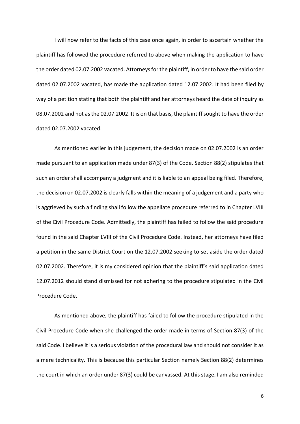I will now refer to the facts of this case once again, in order to ascertain whether the plaintiff has followed the procedure referred to above when making the application to have the order dated 02.07.2002 vacated. Attorneys for the plaintiff, in order to have the said order dated 02.07.2002 vacated, has made the application dated 12.07.2002. It had been filed by way of a petition stating that both the plaintiff and her attorneys heard the date of inquiry as 08.07.2002 and not as the 02.07.2002. It is on that basis, the plaintiff sought to have the order dated 02.07.2002 vacated.

As mentioned earlier in this judgement, the decision made on 02.07.2002 is an order made pursuant to an application made under 87(3) of the Code. Section 88(2) stipulates that such an order shall accompany a judgment and it is liable to an appeal being filed. Therefore, the decision on 02.07.2002 is clearly falls within the meaning of a judgement and a party who is aggrieved by such a finding shall follow the appellate procedure referred to in Chapter LVIII of the Civil Procedure Code. Admittedly, the plaintiff has failed to follow the said procedure found in the said Chapter LVIII of the Civil Procedure Code. Instead, her attorneys have filed a petition in the same District Court on the 12.07.2002 seeking to set aside the order dated 02.07.2002. Therefore, it is my considered opinion that the plaintiff's said application dated 12.07.2012 should stand dismissed for not adhering to the procedure stipulated in the Civil Procedure Code.

As mentioned above, the plaintiff has failed to follow the procedure stipulated in the Civil Procedure Code when she challenged the order made in terms of Section 87(3) of the said Code. I believe it is a serious violation of the procedural law and should not consider it as a mere technicality. This is because this particular Section namely Section 88(2) determines the court in which an order under 87(3) could be canvassed. At this stage, I am also reminded